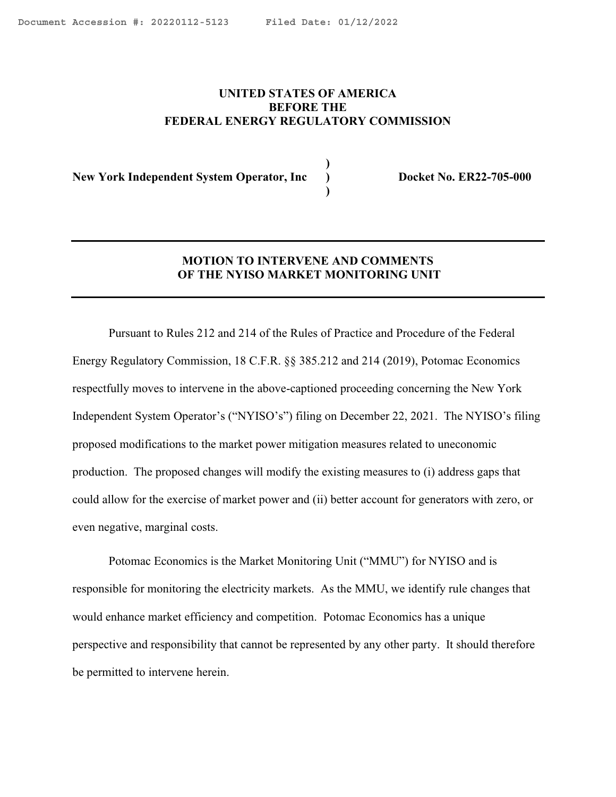**)**

## <span id="page-0-0"></span>**UNITED STATES OF AMERICA BEFORE THE FEDERAL ENERGY REGULATORY COMMISSION**

**New York Independent System Operator, Inc ) Docket No. ER22-705-000**

 **)**

# **MOTION TO INTERVENE AND COMMENTS OF THE NYISO MARKET MONITORING UNIT**

Pursuant to Rules 212 and 214 of the Rules of Practice and Procedure of the Federal Energy Regulatory Commission, 18 C.F.R. §§ 385.212 and 214 (2019), Potomac Economics respectfully moves to intervene in the above-captioned proceeding concerning the New York Independent System Operator's ("NYISO's") filing on December 22, 2021. The NYISO's filing proposed modifications to the market power mitigation measures related to uneconomic production. The proposed changes will modify the existing measures to (i) address gaps that could allow for the exercise of market power and (ii) better account for generators with zero, or even negative, marginal costs.

Potomac Economics is the Market Monitoring Unit ("MMU") for NYISO and is responsible for monitoring the electricity markets. As the MMU, we identify rule changes that would enhance market efficiency and competition. Potomac Economics has a unique perspective and responsibility that cannot be represented by any other party. It should therefore be permitted to intervene herein.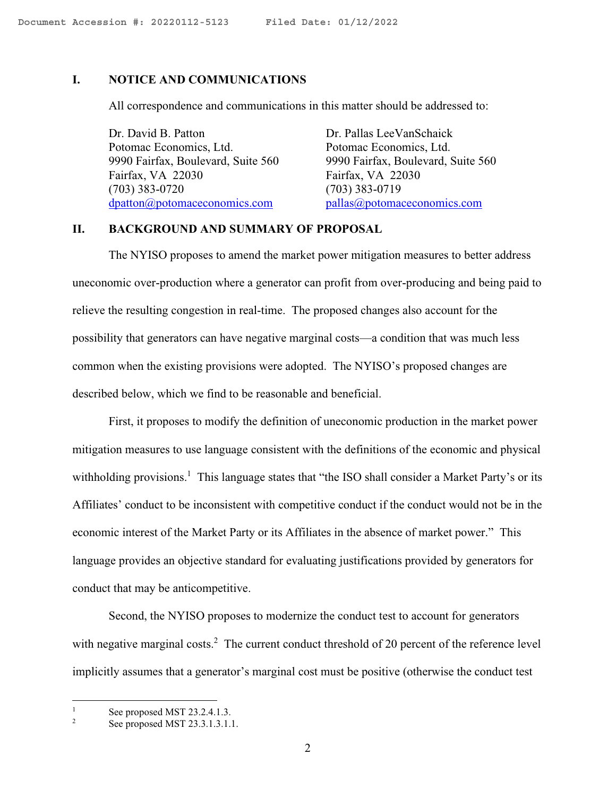### **I. NOTICE AND COMMUNICATIONS**

All correspondence and communications in this matter should be addressed to:

Dr. David B. Patton Dr. Pallas Lee Van Schaick Potomac Economics, Ltd. Potomac Economics, Ltd. 9990 Fairfax, Boulevard, Suite 560 9990 Fairfax, Boulevard, Suite 560 Fairfax, VA 22030 Fairfax, VA 22030 (703) 383-0720 (703) 383-0719 [dpatton@potomaceconomics.com](mailto:dpatton@potomaceconomics.com) [pallas@potomaceconomics.com](mailto:pallas@potomaceconomics.com)

# **II. BACKGROUND AND SUMMARY OF PROPOSAL**

The NYISO proposes to amend the market power mitigation measures to better address uneconomic over-production where a generator can profit from over-producing and being paid to relieve the resulting congestion in real-time. The proposed changes also account for the possibility that generators can have negative marginal costs—a condition that was much less common when the existing provisions were adopted. The NYISO's proposed changes are described below, which we find to be reasonable and beneficial.

First, it proposes to modify the definition of uneconomic production in the market power mitigation measures to use language consistent with the definitions of the economic and physical withholding provisions.<sup>1</sup> This language states that "the ISO shall consider a Market Party's or its Affiliates' conduct to be inconsistent with competitive conduct if the conduct would not be in the economic interest of the Market Party or its Affiliates in the absence of market power." This language provides an objective standard for evaluating justifications provided by generators for conduct that may be anticompetitive.

Second, the NYISO proposes to modernize the conduct test to account for generators with negative marginal costs.<sup>2</sup> The current conduct threshold of 20 percent of the reference level implicitly assumes that a generator's marginal cost must be positive (otherwise the conduct test

<sup>&</sup>lt;sup>1</sup> See proposed MST 23.2.4.1.3.<br>See proposed MST 23.3.1.3.1.1

See proposed MST 23.3.1.3.1.1.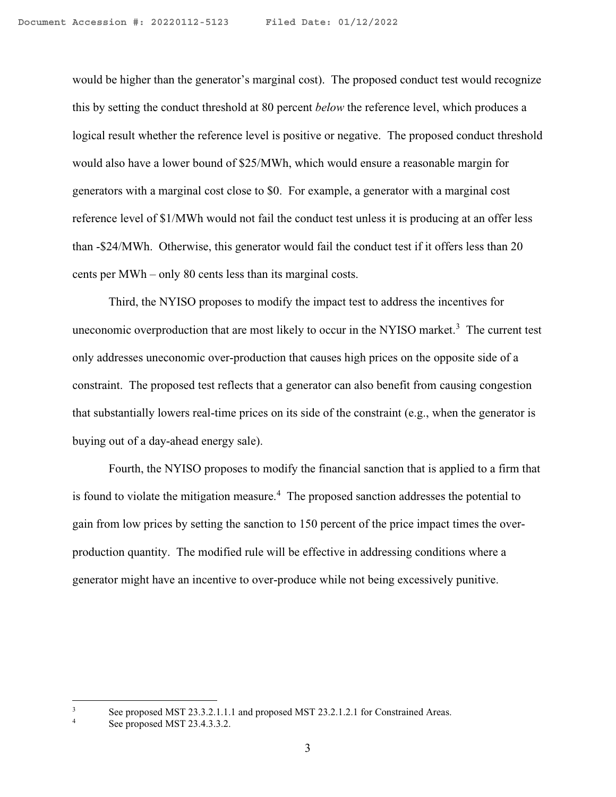would be higher than the generator's marginal cost). The proposed conduct test would recognize this by setting the conduct threshold at 80 percent *below* the reference level, which produces a logical result whether the reference level is positive or negative. The proposed conduct threshold would also have a lower bound of \$25/MWh, which would ensure a reasonable margin for generators with a marginal cost close to \$0. For example, a generator with a marginal cost reference level of \$1/MWh would not fail the conduct test unless it is producing at an offer less than -\$24/MWh. Otherwise, this generator would fail the conduct test if it offers less than 20 cents per MWh – only 80 cents less than its marginal costs.

Third, the NYISO proposes to modify the impact test to address the incentives for uneconomic overproduction that are most likely to occur in the NYISO market.<sup>3</sup> The current test only addresses uneconomic over-production that causes high prices on the opposite side of a constraint. The proposed test reflects that a generator can also benefit from causing congestion that substantially lowers real-time prices on its side of the constraint (e.g., when the generator is buying out of a day-ahead energy sale).

Fourth, the NYISO proposes to modify the financial sanction that is applied to a firm that is found to violate the mitigation measure.<sup>4</sup> The proposed sanction addresses the potential to gain from low prices by setting the sanction to 150 percent of the price impact times the overproduction quantity. The modified rule will be effective in addressing conditions where a generator might have an incentive to over-produce while not being excessively punitive.

<sup>&</sup>lt;sup>3</sup> See proposed MST 23.3.2.1.1.1 and proposed MST 23.2.1.2.1 for Constrained Areas.<br>See proposed MST 23.4.3.3.2.

See proposed MST 23.4.3.3.2.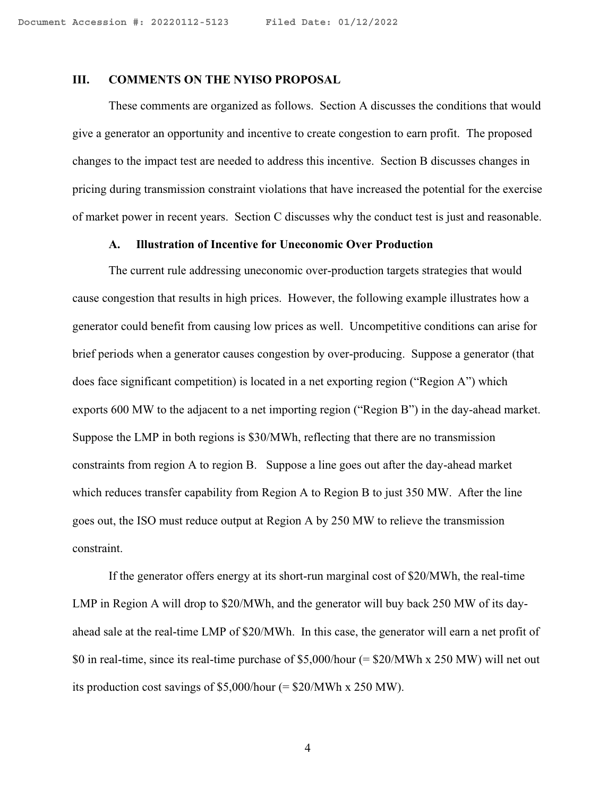### **III. COMMENTS ON THE NYISO PROPOSAL**

These comments are organized as follows. Section A discusses the conditions that would give a generator an opportunity and incentive to create congestion to earn profit. The proposed changes to the impact test are needed to address this incentive. Section B discusses changes in pricing during transmission constraint violations that have increased the potential for the exercise of market power in recent years. Section C discusses why the conduct test is just and reasonable.

#### **A. Illustration of Incentive for Uneconomic Over Production**

The current rule addressing uneconomic over-production targets strategies that would cause congestion that results in high prices. However, the following example illustrates how a generator could benefit from causing low prices as well. Uncompetitive conditions can arise for brief periods when a generator causes congestion by over-producing. Suppose a generator (that does face significant competition) is located in a net exporting region ("Region A") which exports 600 MW to the adjacent to a net importing region ("Region B") in the day-ahead market. Suppose the LMP in both regions is \$30/MWh, reflecting that there are no transmission constraints from region A to region B. Suppose a line goes out after the day-ahead market which reduces transfer capability from Region A to Region B to just 350 MW. After the line goes out, the ISO must reduce output at Region A by 250 MW to relieve the transmission constraint.

If the generator offers energy at its short-run marginal cost of \$20/MWh, the real-time LMP in Region A will drop to \$20/MWh, and the generator will buy back 250 MW of its dayahead sale at the real-time LMP of \$20/MWh. In this case, the generator will earn a net profit of \$0 in real-time, since its real-time purchase of \$5,000/hour (= \$20/MWh x 250 MW) will net out its production cost savings of \$5,000/hour (= \$20/MWh x 250 MW).

4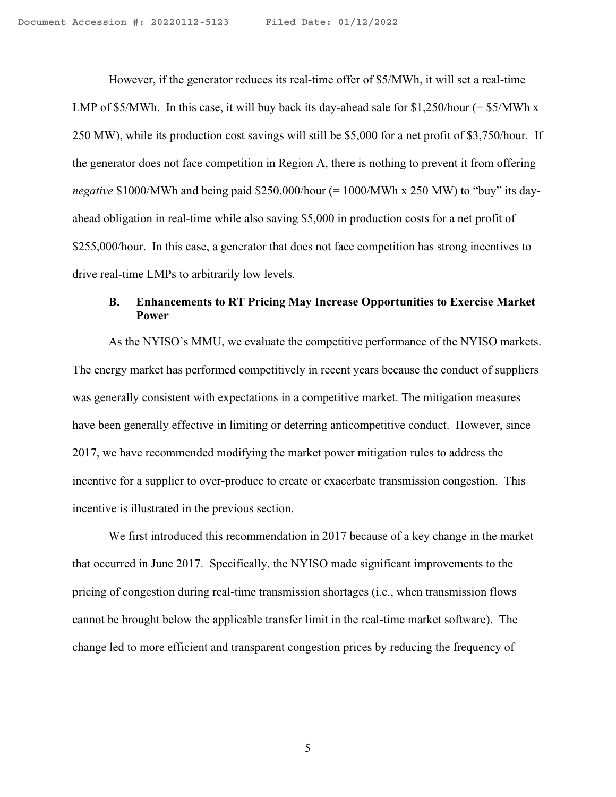However, if the generator reduces its real-time offer of \$5/MWh, it will set a real-time LMP of \$5/MWh. In this case, it will buy back its day-ahead sale for \$1,250/hour (=  $$5/MWh x$ ) 250 MW), while its production cost savings will still be \$5,000 for a net profit of \$3,750/hour. If the generator does not face competition in Region A, there is nothing to prevent it from offering *negative* \$1000/MWh and being paid \$250,000/hour (= 1000/MWh x 250 MW) to "buy" its dayahead obligation in real-time while also saving \$5,000 in production costs for a net profit of \$255,000/hour. In this case, a generator that does not face competition has strong incentives to drive real-time LMPs to arbitrarily low levels.

# **B. Enhancements to RT Pricing May Increase Opportunities to Exercise Market Power**

As the NYISO's MMU, we evaluate the competitive performance of the NYISO markets. The energy market has performed competitively in recent years because the conduct of suppliers was generally consistent with expectations in a competitive market. The mitigation measures have been generally effective in limiting or deterring anticompetitive conduct. However, since 2017, we have recommended modifying the market power mitigation rules to address the incentive for a supplier to over-produce to create or exacerbate transmission congestion. This incentive is illustrated in the previous section.

We first introduced this recommendation in 2017 because of a key change in the market that occurred in June 2017. Specifically, the NYISO made significant improvements to the pricing of congestion during real-time transmission shortages (i.e., when transmission flows cannot be brought below the applicable transfer limit in the real-time market software). The change led to more efficient and transparent congestion prices by reducing the frequency of

5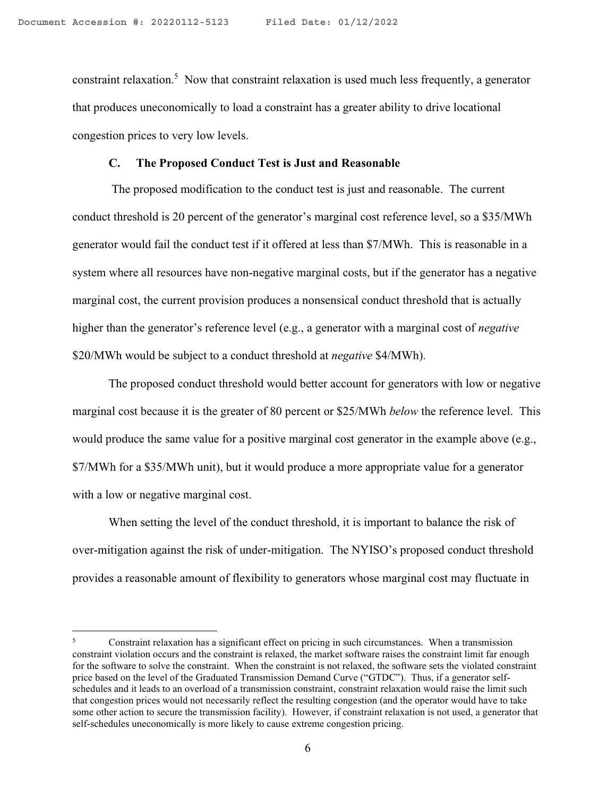constraint relaxation.<sup>5</sup> Now that constraint relaxation is used much less frequently, a generator that produces uneconomically to load a constraint has a greater ability to drive locational congestion prices to very low levels.

### **C. The Proposed Conduct Test is Just and Reasonable**

The proposed modification to the conduct test is just and reasonable. The current conduct threshold is 20 percent of the generator's marginal cost reference level, so a \$35/MWh generator would fail the conduct test if it offered at less than \$7/MWh. This is reasonable in a system where all resources have non-negative marginal costs, but if the generator has a negative marginal cost, the current provision produces a nonsensical conduct threshold that is actually higher than the generator's reference level (e.g., a generator with a marginal cost of *negative* \$20/MWh would be subject to a conduct threshold at *negative* \$4/MWh).

The proposed conduct threshold would better account for generators with low or negative marginal cost because it is the greater of 80 percent or \$25/MWh *below* the reference level. This would produce the same value for a positive marginal cost generator in the example above (e.g., \$7/MWh for a \$35/MWh unit), but it would produce a more appropriate value for a generator with a low or negative marginal cost.

When setting the level of the conduct threshold, it is important to balance the risk of over-mitigation against the risk of under-mitigation. The NYISO's proposed conduct threshold provides a reasonable amount of flexibility to generators whose marginal cost may fluctuate in

<sup>5</sup> Constraint relaxation has a significant effect on pricing in such circumstances. When a transmission constraint violation occurs and the constraint is relaxed, the market software raises the constraint limit far enough for the software to solve the constraint. When the constraint is not relaxed, the software sets the violated constraint price based on the level of the Graduated Transmission Demand Curve ("GTDC"). Thus, if a generator selfschedules and it leads to an overload of a transmission constraint, constraint relaxation would raise the limit such that congestion prices would not necessarily reflect the resulting congestion (and the operator would have to take some other action to secure the transmission facility). However, if constraint relaxation is not used, a generator that self-schedules uneconomically is more likely to cause extreme congestion pricing.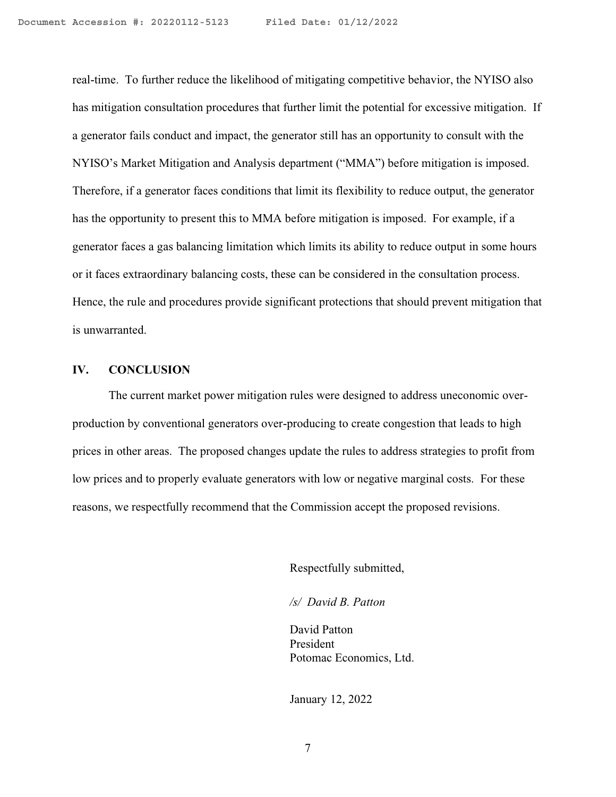real-time. To further reduce the likelihood of mitigating competitive behavior, the NYISO also has mitigation consultation procedures that further limit the potential for excessive mitigation. If a generator fails conduct and impact, the generator still has an opportunity to consult with the NYISO's Market Mitigation and Analysis department ("MMA") before mitigation is imposed. Therefore, if a generator faces conditions that limit its flexibility to reduce output, the generator has the opportunity to present this to MMA before mitigation is imposed. For example, if a generator faces a gas balancing limitation which limits its ability to reduce output in some hours or it faces extraordinary balancing costs, these can be considered in the consultation process. Hence, the rule and procedures provide significant protections that should prevent mitigation that is unwarranted.

### **IV. CONCLUSION**

The current market power mitigation rules were designed to address uneconomic overproduction by conventional generators over-producing to create congestion that leads to high prices in other areas. The proposed changes update the rules to address strategies to profit from low prices and to properly evaluate generators with low or negative marginal costs. For these reasons, we respectfully recommend that the Commission accept the proposed revisions.

Respectfully submitted,

*/s/ David B. Patton*

David Patton President Potomac Economics, Ltd.

January 12, 2022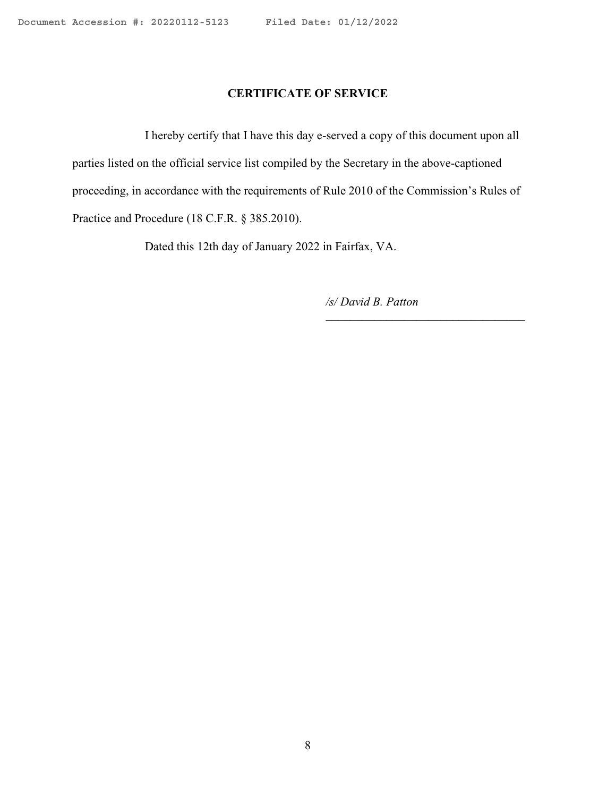### **CERTIFICATE OF SERVICE**

I hereby certify that I have this day e-served a copy of this document upon all parties listed on the official service list compiled by the Secretary in the above-captioned proceeding, in accordance with the requirements of Rule 2010 of the Commission's Rules of Practice and Procedure (18 C.F.R. § 385.2010).

Dated this 12th day of January 2022 in Fairfax, VA.

*/s/ David B. Patton*

\_\_\_\_\_\_\_\_\_\_\_\_\_\_\_\_\_\_\_\_\_\_\_\_\_\_\_\_\_\_\_\_\_